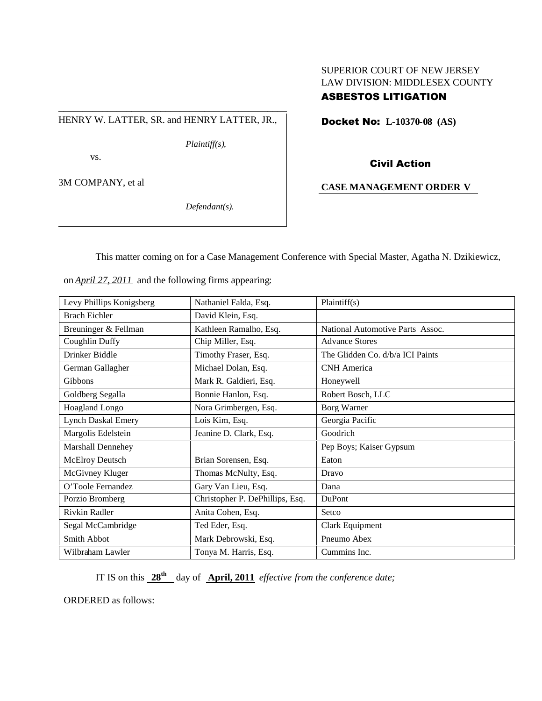# SUPERIOR COURT OF NEW JERSEY LAW DIVISION: MIDDLESEX COUNTY

## ASBESTOS LITIGATION

HENRY W. LATTER, SR. and HENRY LATTER, JR.,

\_\_\_\_\_\_\_\_\_\_\_\_\_\_\_\_\_\_\_\_\_\_\_\_\_\_\_\_\_\_\_\_\_\_\_\_\_\_\_\_\_\_\_\_\_\_\_

*Plaintiff(s),*

vs.

3M COMPANY, et al

*Defendant(s).*

Docket No: **L-10370-08 (AS)**

### Civil Action

### **CASE MANAGEMENT ORDER V**

This matter coming on for a Case Management Conference with Special Master, Agatha N. Dzikiewicz,

| Levy Phillips Konigsberg  | Nathaniel Falda, Esq.           | Plaintiff(s)                     |
|---------------------------|---------------------------------|----------------------------------|
| <b>Brach Eichler</b>      | David Klein, Esq.               |                                  |
| Breuninger & Fellman      | Kathleen Ramalho, Esq.          | National Automotive Parts Assoc. |
| Coughlin Duffy            | Chip Miller, Esq.               | <b>Advance Stores</b>            |
| Drinker Biddle            | Timothy Fraser, Esq.            | The Glidden Co. d/b/a ICI Paints |
| German Gallagher          | Michael Dolan, Esq.             | <b>CNH</b> America               |
| Gibbons                   | Mark R. Galdieri, Esq.          | Honeywell                        |
| Goldberg Segalla          | Bonnie Hanlon, Esq.             | Robert Bosch, LLC                |
| Hoagland Longo            | Nora Grimbergen, Esq.           | Borg Warner                      |
| <b>Lynch Daskal Emery</b> | Lois Kim, Esq.                  | Georgia Pacific                  |
| Margolis Edelstein        | Jeanine D. Clark, Esq.          | Goodrich                         |
| Marshall Dennehey         |                                 | Pep Boys; Kaiser Gypsum          |
| <b>McElroy Deutsch</b>    | Brian Sorensen, Esq.            | Eaton                            |
| McGivney Kluger           | Thomas McNulty, Esq.            | Dravo                            |
| O'Toole Fernandez         | Gary Van Lieu, Esq.             | Dana                             |
| Porzio Bromberg           | Christopher P. DePhillips, Esq. | DuPont                           |
| Rivkin Radler             | Anita Cohen, Esq.               | Setco                            |
| Segal McCambridge         | Ted Eder, Esq.                  | Clark Equipment                  |
| Smith Abbot               | Mark Debrowski, Esq.            | Pneumo Abex                      |
| Wilbraham Lawler          | Tonya M. Harris, Esq.           | Cummins Inc.                     |

on *April 27, 2011* and the following firms appearing:

IT IS on this **28th** day of **April, 2011** *effective from the conference date;*

ORDERED as follows: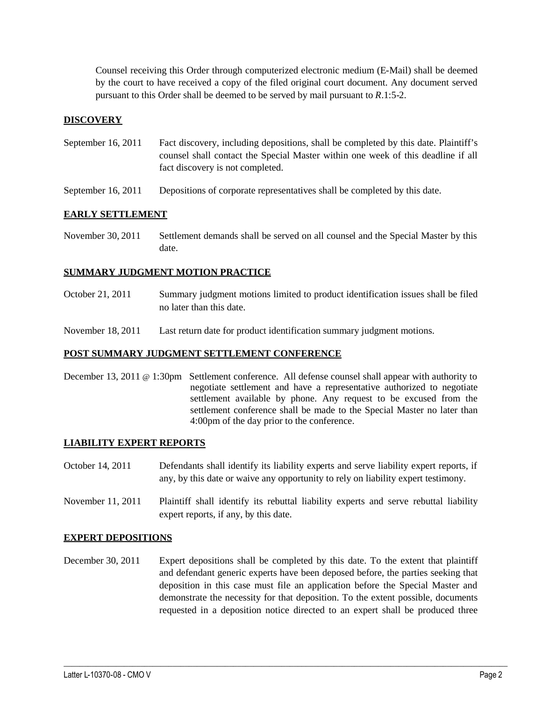Counsel receiving this Order through computerized electronic medium (E-Mail) shall be deemed by the court to have received a copy of the filed original court document. Any document served pursuant to this Order shall be deemed to be served by mail pursuant to *R*.1:5-2.

#### **DISCOVERY**

- September 16, 2011 Fact discovery, including depositions, shall be completed by this date. Plaintiff's counsel shall contact the Special Master within one week of this deadline if all fact discovery is not completed.
- September 16, 2011 Depositions of corporate representatives shall be completed by this date.

#### **EARLY SETTLEMENT**

November 30, 2011 Settlement demands shall be served on all counsel and the Special Master by this date.

#### **SUMMARY JUDGMENT MOTION PRACTICE**

- October 21, 2011 Summary judgment motions limited to product identification issues shall be filed no later than this date.
- November 18, 2011 Last return date for product identification summary judgment motions.

#### **POST SUMMARY JUDGMENT SETTLEMENT CONFERENCE**

December 13, 2011 @ 1:30pm Settlement conference. All defense counsel shall appear with authority to negotiate settlement and have a representative authorized to negotiate settlement available by phone. Any request to be excused from the settlement conference shall be made to the Special Master no later than 4:00pm of the day prior to the conference.

#### **LIABILITY EXPERT REPORTS**

- October 14, 2011 Defendants shall identify its liability experts and serve liability expert reports, if any, by this date or waive any opportunity to rely on liability expert testimony.
- November 11, 2011 Plaintiff shall identify its rebuttal liability experts and serve rebuttal liability expert reports, if any, by this date.

#### **EXPERT DEPOSITIONS**

December 30, 2011 Expert depositions shall be completed by this date. To the extent that plaintiff and defendant generic experts have been deposed before, the parties seeking that deposition in this case must file an application before the Special Master and demonstrate the necessity for that deposition. To the extent possible, documents requested in a deposition notice directed to an expert shall be produced three

 $\_$  ,  $\_$  ,  $\_$  ,  $\_$  ,  $\_$  ,  $\_$  ,  $\_$  ,  $\_$  ,  $\_$  ,  $\_$  ,  $\_$  ,  $\_$  ,  $\_$  ,  $\_$  ,  $\_$  ,  $\_$  ,  $\_$  ,  $\_$  ,  $\_$  ,  $\_$  ,  $\_$  ,  $\_$  ,  $\_$  ,  $\_$  ,  $\_$  ,  $\_$  ,  $\_$  ,  $\_$  ,  $\_$  ,  $\_$  ,  $\_$  ,  $\_$  ,  $\_$  ,  $\_$  ,  $\_$  ,  $\_$  ,  $\_$  ,